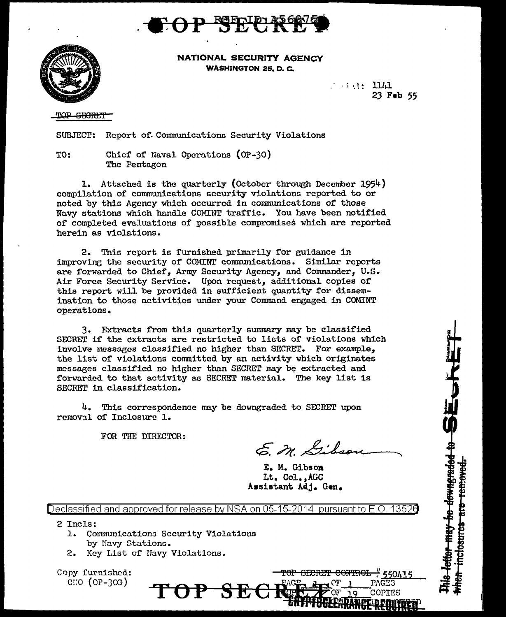



NATIONAL SECURITY AGENCY WASHINGTON 25. D. C.

> $\ldots$  int: 1141 23 Feb 55

OP <del>GRORL'T</del>

SUBJECT: Report of Communications Security Violations

TO: Chier of naval Operations (OP-30) The Pentagon

1. Attached is the quarterly (October through December 1954) compilation of communications security violations reported to or noted by this Agency which occurred in communications of those No.vy stations which handle COMINT traffic. You have been notified of completed evaluations of possible compromises which are reported herein as violations.

2. This report is furnished primarily for guidance in improvine the security of COMINT communications. Similar reports are forwarded to Chief, Army Security Agency, and Commander,  $U.S.$ Air Force Security Service. Upon request, additional copies of this report will be provided in sufficient quantity for dissemination to those o.ctivitics under your Command engaged in COMINT operations.

3. Extracts rrom this quarterly summary may be c1assified SECRET if the extracts are restricted to lists of violations which involve messages classified no higher than SECRET. For example, the list of violations committed by an activity which originates messages classified no higher than SECRET may be extracted and forwarded to that activity as SECRET material. The key list is SECRET in classification.

4. This correspondence may be downgraded to SECRET upon removal of Inclosure 1.

FOR THE DIRECTOR:

E. M. Gibson

Hetter may be downgraded to BE.

 $\frac{1}{11}$  550415

PAGES

COPIES

<del>CONTROL</del>

mclosures are removed

E. M. Gibson Lt. Col.,AGC Assistant Adj. Gen.

Declassified and approved for release by NSA on 05-15-2014 pursuant to E.O. 13526

OP SE

- <sup>2</sup>Incls:
	- 1. Communications Security Violations by Navy Stations.
	- 2. Key List of Havy Violations.

Copy furnished:  $C\colon O$  (OP-30G)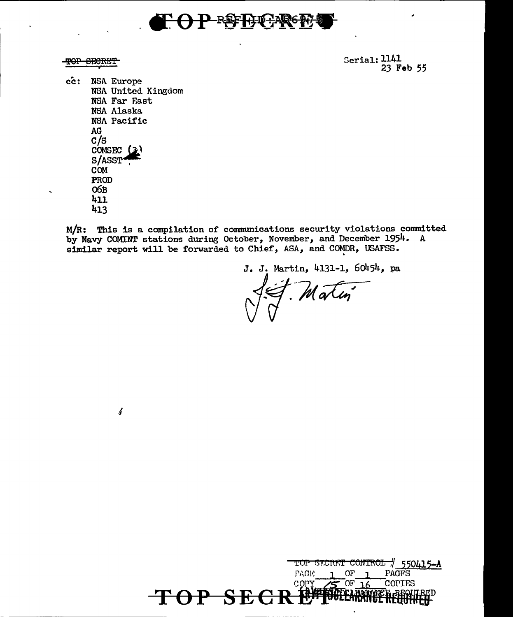

TOP SECRET

Serial: 1141 23 Feb 55

 $cc:$ NSA Europe NSA United Kingdom NSA Far East **NSA Alaska** NSA Pacific **AG**  $c/s$ COMSEC  $(3)$ S/ASST **COM** PROD  $O6B$  $411$ 413

 $\pmb{\delta}$ 

M/R: This is a compilation of communications security violations committed by Navy COMINT stations during October, November, and December 1954. A similar report will be forwarded to Chief, ASA, and COMDR, USAFSS.

J. J. Martin, 4131-1, 60454, pa

Matin

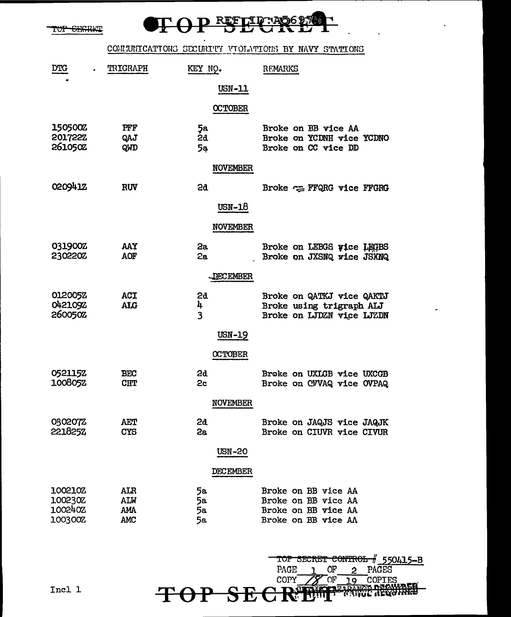TOP GEGRAT

## P REFLIGRADO P ┑

# COMMUNICATIONS SECURITY VIOLATIONS BY NAVY STATIONS

| <b>DTG</b>                                  | <b>TRIGRAPH</b>                        | KEY NO.              | REMARKS                                                                                  |
|---------------------------------------------|----------------------------------------|----------------------|------------------------------------------------------------------------------------------|
|                                             |                                        | USN-11               |                                                                                          |
|                                             |                                        | <b>OCTOBER</b>       |                                                                                          |
| <b>150500Z</b><br><b>201722Z</b><br>261050Z | PFF<br>QAJ<br>QWD                      | 5a<br>2đ<br>5a       | Broke on BB vice AA<br>Broke on YCDNH vice YCDNO<br>Broke on CC vice DD                  |
|                                             |                                        | <b>NOVEMBER</b>      |                                                                                          |
| 020941Z                                     | <b>RUV</b>                             | 5g                   | Broke = FFQRG vice FFGRG                                                                 |
|                                             |                                        | USN-18               |                                                                                          |
|                                             |                                        | <b>NOVEMBER</b>      |                                                                                          |
| 031900Z<br>2302202                          | AAY<br>AOF                             | 2a<br>2a             | Broke on LEBGS wice LEGBS<br>Broke on JXSNQ rice JSXNQ                                   |
|                                             |                                        | <b>QECEMBER</b>      |                                                                                          |
| <b>012005Z</b><br><b>042109Z</b><br>2600502 | ACI<br><b>ALG</b>                      | 2d<br>4<br>3         | Broke on QATKJ vice QAKTJ<br>Broke using trigraph ALJ<br>Broke on LJDZN vice LJZDN       |
|                                             |                                        | USN-19               |                                                                                          |
|                                             |                                        | <b>OCTOBER</b>       |                                                                                          |
| 052115Z<br>100805Z                          | <b>BEC</b><br><b>CHT</b>               | 2d<br>2c             | Broke on UXLGB vice UXCGB<br>Broke on CVVAQ vice OVPAQ                                   |
|                                             |                                        | <b>NOVEMBER</b>      |                                                                                          |
| 030207Z<br>2218252                          | <b>AET</b><br>CYS                      | 2d<br>2a             | Broke on JAQJS vice JAQJK<br>Broke on CIUVR vice CIVUR                                   |
|                                             |                                        | <b>USN-20</b>        |                                                                                          |
|                                             |                                        | DECEMBER             |                                                                                          |
| 100210Z<br>100230Z<br>1002402<br>100300Z    | ALR<br><b>ALW</b><br><b>AMA</b><br>AMC | 5а<br>5a<br>5a<br>5а | Broke on BB vice AA<br>Broke on BB vice AA<br>Broke on BB vice AA<br>Broke on BB vice AA |

**TOP SECR®** 

TOP SECRET CONTROL # 550415-B<br>PAGE 1 OF 2 PAGES<br>COPY 2 OF 19 COPIES

**WERGHARD** 

Incl 1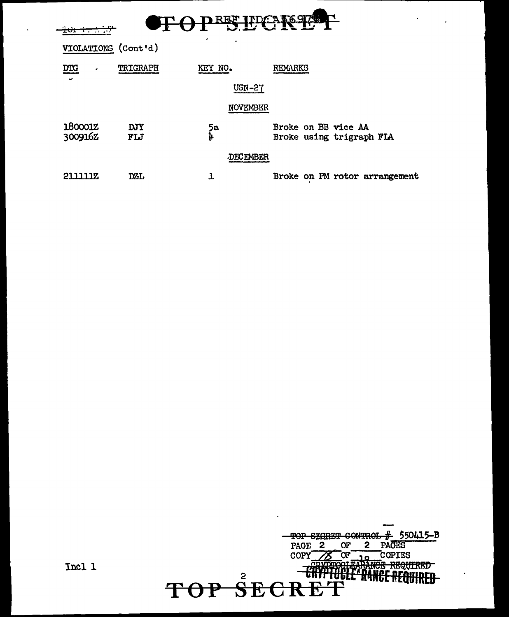| <u>रू अध</u><br>REE I<br><del>101 1 1 1 1</del> |                   |                 |                                                 |  |  |
|-------------------------------------------------|-------------------|-----------------|-------------------------------------------------|--|--|
| VIOLATIONS (Cont'd)                             |                   | ٠               |                                                 |  |  |
| <b>DTG</b><br>٠                                 | TRIGRAPH          | KEY NO.         | REMARKS                                         |  |  |
|                                                 |                   | <b>USN-27</b>   |                                                 |  |  |
| <b>NOVEMBER</b>                                 |                   |                 |                                                 |  |  |
| 180001Z<br>300916Z                              | <b>DJY</b><br>FLJ | 5а<br>Ļ.        | Broke on BB vice AA<br>Broke using trigraph FIA |  |  |
|                                                 |                   | <b>DECEMBER</b> |                                                 |  |  |
| 2111117                                         | DZL               |                 | Broke on PM rotor arrangement                   |  |  |



 $\ddot{\phantom{a}}$ 

 $\mathbf{r}$